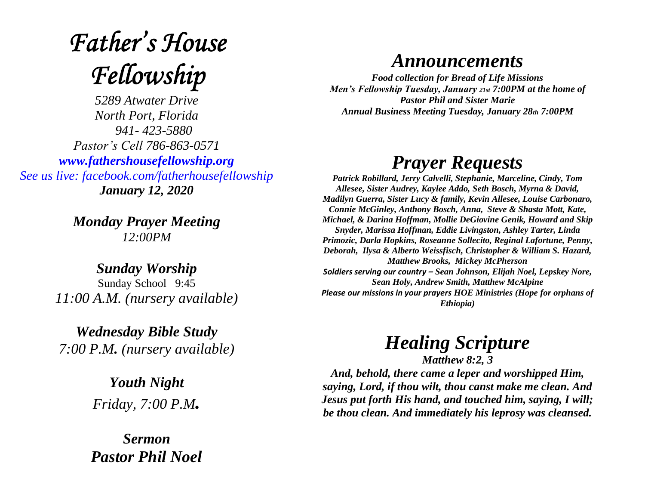## **Father's House** Fellowship

*5289 Atwater Drive North Port, Florida 941- 423-5880 Pastor's Cell 786-863-0571 [www.fathershousefellowship.org](http://www.fathershousefellowship.org/) See us live: facebook.com/fatherhousefellowship January 12, 2020*

> *Monday Prayer Meeting 12:00PM*

*Sunday Worship* Sunday School 9:45 *11:00 A.M. (nursery available)*

*Wednesday Bible Study 7:00 P.M. (nursery available)*

> *Youth Night Friday, 7:00 P.M.*

*Sermon Pastor Phil Noel*

## *Announcements*

*Food collection for Bread of Life Missions Men's Fellowship Tuesday, January 21st 7:00PM at the home of Pastor Phil and Sister Marie Annual Business Meeting Tuesday, January 28th 7:00PM*

## *Prayer Requests*

*Patrick Robillard, Jerry Calvelli, Stephanie, Marceline, Cindy, Tom Allesee, Sister Audrey, Kaylee Addo, Seth Bosch, Myrna & David, Madilyn Guerra, Sister Lucy & family, Kevin Allesee, Louise Carbonaro, Connie McGinley, Anthony Bosch, Anna, Steve & Shasta Mott, Kate, Michael, & Darina Hoffman, Mollie DeGiovine Genik, Howard and Skip Snyder, Marissa Hoffman, Eddie Livingston, Ashley Tarter, Linda Primozic, Darla Hopkins, Roseanne Sollecito, Reginal Lafortune, Penny, Deborah, Ilysa & Alberto Weissfisch, Christopher & William S. Hazard, Matthew Brooks, Mickey McPherson Soldiers serving our country – Sean Johnson, Elijah Noel, Lepskey Nore, Sean Holy, Andrew Smith, Matthew McAlpine Please our missions in your prayers HOE Ministries (Hope for orphans of Ethiopia)*

*Healing Scripture*

*Matthew 8:2, 3 And, behold, there came a leper and worshipped Him, saying, Lord, if thou wilt, thou canst make me clean. And Jesus put forth His hand, and touched him, saying, I will; be thou clean. And immediately his leprosy was cleansed.*